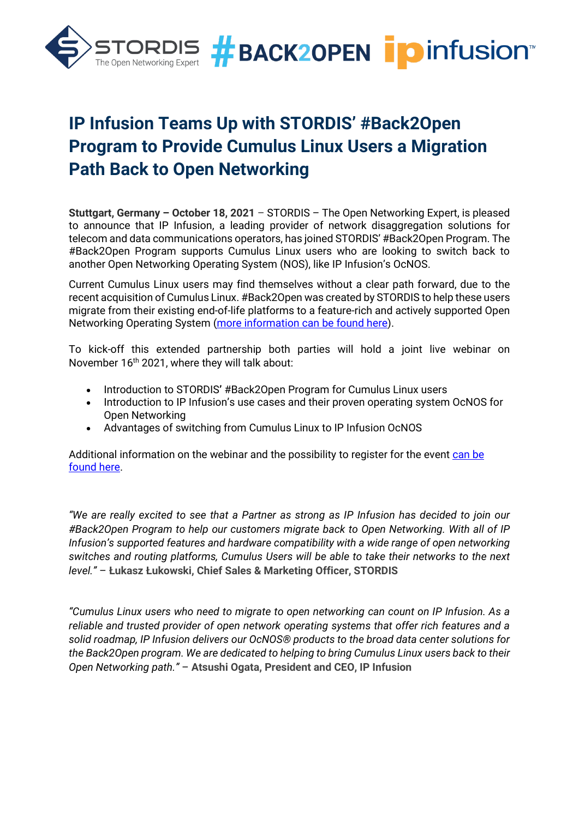

# **IP Infusion Teams Up with STORDIS' #Back2Open Program to Provide Cumulus Linux Users a Migration Path Back to Open Networking**

**Stuttgart, Germany – October 18, 2021** – STORDIS – The Open Networking Expert, is pleased to announce that IP Infusion, a leading provider of network disaggregation solutions for telecom and data communications operators, has joined STORDIS' #Back2Open Program. The #Back2Open Program supports Cumulus Linux users who are looking to switch back to another Open Networking Operating System (NOS), like IP Infusion's OcNOS.

Current Cumulus Linux users may find themselves without a clear path forward, due to the recent acquisition of Cumulus Linux. #Back2Open was created by STORDIS to help these users migrate from their existing end-of-life platforms to a feature-rich and actively supported Open Networking Operating System [\(more information can be found here\)](https://stordis.com/back2open-program/).

To kick-off this extended partnership both parties will hold a joint live webinar on November 16<sup>th</sup> 2021, where they will talk about:

- Introduction to STORDIS**'** #Back2Open Program for Cumulus Linux users
- Introduction to IP Infusion's use cases and their proven operating system OcNOS for Open Networking
- Advantages of switching from Cumulus Linux to IP Infusion OcNOS

Additional information on the webinar and the possibility to register for the event [can be](https://stordis.com/live-webinar-back2open-provides-cumulus-linux-users-a-migration-path-back-to-open-networking-with-ip-infusion/)  [found here.](https://stordis.com/live-webinar-back2open-provides-cumulus-linux-users-a-migration-path-back-to-open-networking-with-ip-infusion/)

*"We are really excited to see that a Partner as strong as IP Infusion has decided to join our #Back2Open Program to help our customers migrate back to Open Networking. With all of IP Infusion's supported features and hardware compatibility with a wide range of open networking switches and routing platforms, Cumulus Users will be able to take their networks to the next level."* – **Łukasz Łukowski, Chief Sales & Marketing Officer, STORDIS**

*"Cumulus Linux users who need to migrate to open networking can count on IP Infusion. As a reliable and trusted provider of open network operating systems that offer rich features and a solid roadmap, IP Infusion delivers our OcNOS® products to the broad data center solutions for the Back2Open program. We are dedicated to helping to bring Cumulus Linux users back to their Open Networking path."* – **Atsushi Ogata, President and CEO, IP Infusion**